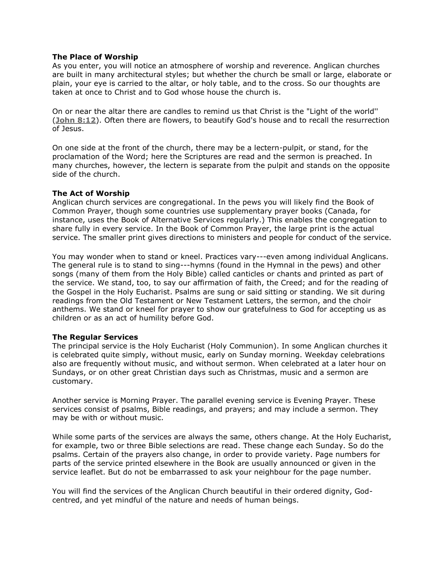# **The Place of Worship**

As you enter, you will notice an atmosphere of worship and reverence. Anglican churches are built in many architectural styles; but whether the church be small or large, elaborate or plain, your eye is carried to the altar, or holy table, and to the cross. So our thoughts are taken at once to Christ and to God whose house the church is.

On or near the altar there are candles to remind us that Christ is the "Light of the world'' (**[John 8:12](http://bible.gospelcom.net/bible?version=KJV&passage=John+8:12)**). Often there are flowers, to beautify God's house and to recall the resurrection of Jesus.

On one side at the front of the church, there may be a lectern-pulpit, or stand, for the proclamation of the Word; here the Scriptures are read and the sermon is preached. In many churches, however, the lectern is separate from the pulpit and stands on the opposite side of the church.

# **The Act of Worship**

Anglican church services are congregational. In the pews you will likely find the Book of Common Prayer, though some countries use supplementary prayer books (Canada, for instance, uses the Book of Alternative Services regularly.) This enables the congregation to share fully in every service. In the Book of Common Prayer, the large print is the actual service. The smaller print gives directions to ministers and people for conduct of the service.

You may wonder when to stand or kneel. Practices vary---even among individual Anglicans. The general rule is to stand to sing---hymns (found in the Hymnal in the pews) and other songs (many of them from the Holy Bible) called canticles or chants and printed as part of the service. We stand, too, to say our affirmation of faith, the Creed; and for the reading of the Gospel in the Holy Eucharist. Psalms are sung or said sitting or standing. We sit during readings from the Old Testament or New Testament Letters, the sermon, and the choir anthems. We stand or kneel for prayer to show our gratefulness to God for accepting us as children or as an act of humility before God.

### **The Regular Services**

The principal service is the Holy Eucharist (Holy Communion). In some Anglican churches it is celebrated quite simply, without music, early on Sunday morning. Weekday celebrations also are frequently without music, and without sermon. When celebrated at a later hour on Sundays, or on other great Christian days such as Christmas, music and a sermon are customary.

Another service is Morning Prayer. The parallel evening service is Evening Prayer. These services consist of psalms, Bible readings, and prayers; and may include a sermon. They may be with or without music.

While some parts of the services are always the same, others change. At the Holy Eucharist, for example, two or three Bible selections are read. These change each Sunday. So do the psalms. Certain of the prayers also change, in order to provide variety. Page numbers for parts of the service printed elsewhere in the Book are usually announced or given in the service leaflet. But do not be embarrassed to ask your neighbour for the page number.

You will find the services of the Anglican Church beautiful in their ordered dignity, Godcentred, and yet mindful of the nature and needs of human beings.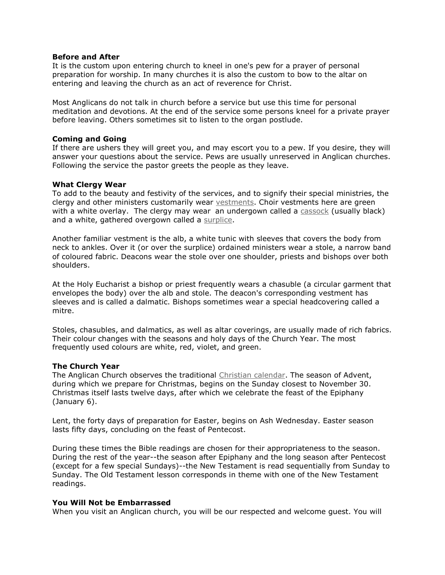# **Before and After**

It is the custom upon entering church to kneel in one's pew for a prayer of personal preparation for worship. In many churches it is also the custom to bow to the altar on entering and leaving the church as an act of reverence for Christ.

Most Anglicans do not talk in church before a service but use this time for personal meditation and devotions. At the end of the service some persons kneel for a private prayer before leaving. Others sometimes sit to listen to the organ postlude.

### **Coming and Going**

If there are ushers they will greet you, and may escort you to a pew. If you desire, they will answer your questions about the service. Pews are usually unreserved in Anglican churches. Following the service the pastor greets the people as they leave.

### **What Clergy Wear**

To add to the beauty and festivity of the services, and to signify their special ministries, the clergy and other ministers customarily wear [vestments.](http://www.kencollins.com/glossary/vestments.htm) Choir vestments here are green with a white overlay. The clergy may wear an undergown called a [cassock](http://www.kencollins.com/glossary/vestment-02.htm) (usually black) and a white, gathered overgown called a [surplice.](http://www.kencollins.com/glossary/vestment-02.htm)

Another familiar vestment is the alb, a white tunic with sleeves that covers the body from neck to ankles. Over it (or over the surplice) ordained ministers wear a stole, a narrow band of coloured fabric. Deacons wear the stole over one shoulder, priests and bishops over both shoulders.

At the Holy Eucharist a bishop or priest frequently wears a chasuble (a circular garment that envelopes the body) over the alb and stole. The deacon's corresponding vestment has sleeves and is called a dalmatic. Bishops sometimes wear a special headcovering called a mitre.

Stoles, chasubles, and dalmatics, as well as altar coverings, are usually made of rich fabrics. Their colour changes with the seasons and holy days of the Church Year. The most frequently used colours are white, red, violet, and green.

### **The Church Year**

The Anglican Church observes the traditional [Christian calendar.](http://www.christianitysite.com/calendar.htm) The season of Advent, during which we prepare for Christmas, begins on the Sunday closest to November 30. Christmas itself lasts twelve days, after which we celebrate the feast of the Epiphany (January 6).

Lent, the forty days of preparation for Easter, begins on Ash Wednesday. Easter season lasts fifty days, concluding on the feast of Pentecost.

During these times the Bible readings are chosen for their appropriateness to the season. During the rest of the year--the season after Epiphany and the long season after Pentecost (except for a few special Sundays)--the New Testament is read sequentially from Sunday to Sunday. The Old Testament lesson corresponds in theme with one of the New Testament readings.

### **You Will Not be Embarrassed**

When you visit an Anglican church, you will be our respected and welcome guest. You will